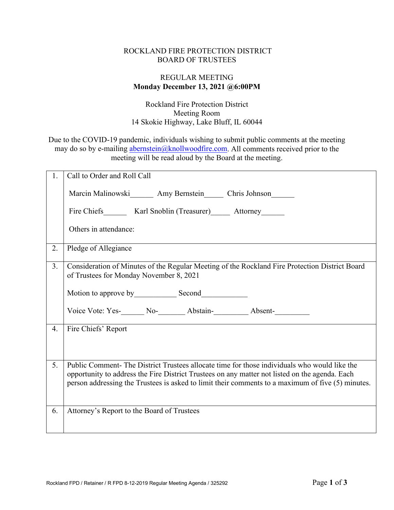## ROCKLAND FIRE PROTECTION DISTRICT BOARD OF TRUSTEES

## REGULAR MEETING **Monday December 13, 2021 @6:00PM**

Rockland Fire Protection District Meeting Room 14 Skokie Highway, Lake Bluff, IL 60044

Due to the COVID-19 pandemic, individuals wishing to submit public comments at the meeting may do so by e-mailing [abernstein@knollwoodfire.com.](mailto:abernstein@knollwoodfire.com) All comments received prior to the meeting will be read aloud by the Board at the meeting.

| 1. | Call to Order and Roll Call                                                                                                                                                                                                                                                                        |
|----|----------------------------------------------------------------------------------------------------------------------------------------------------------------------------------------------------------------------------------------------------------------------------------------------------|
|    | Marcin Malinowski Amy Bernstein Chris Johnson                                                                                                                                                                                                                                                      |
|    | Fire Chiefs Karl Snoblin (Treasurer) Attorney                                                                                                                                                                                                                                                      |
|    | Others in attendance:                                                                                                                                                                                                                                                                              |
| 2. | Pledge of Allegiance                                                                                                                                                                                                                                                                               |
| 3. | Consideration of Minutes of the Regular Meeting of the Rockland Fire Protection District Board<br>of Trustees for Monday November 8, 2021                                                                                                                                                          |
|    |                                                                                                                                                                                                                                                                                                    |
| 4. | Fire Chiefs' Report                                                                                                                                                                                                                                                                                |
| 5. | Public Comment-The District Trustees allocate time for those individuals who would like the<br>opportunity to address the Fire District Trustees on any matter not listed on the agenda. Each<br>person addressing the Trustees is asked to limit their comments to a maximum of five (5) minutes. |
| 6. | Attorney's Report to the Board of Trustees                                                                                                                                                                                                                                                         |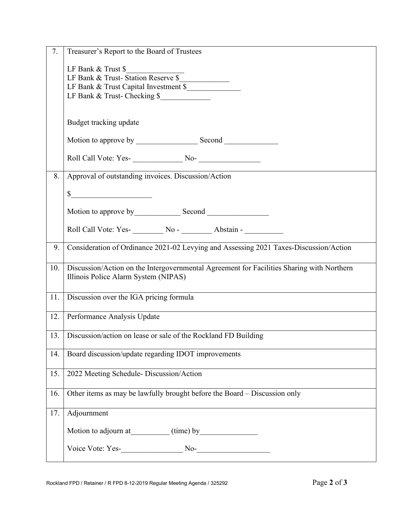| 7.  | Treasurer's Report to the Board of Trustees                                               |
|-----|-------------------------------------------------------------------------------------------|
|     |                                                                                           |
|     | LF Bank & Trust \$<br>LF Bank & Trust-Station Reserve \$                                  |
|     | LF Bank & Trust Capital Investment \$                                                     |
|     | LF Bank & Trust- Checking \$                                                              |
|     |                                                                                           |
|     | Budget tracking update                                                                    |
|     |                                                                                           |
|     |                                                                                           |
| 8.  | Approval of outstanding invoices. Discussion/Action                                       |
|     |                                                                                           |
|     | $\frac{\text{S}}{\text{S}}$                                                               |
|     |                                                                                           |
|     |                                                                                           |
|     |                                                                                           |
| 9.  | Consideration of Ordinance 2021-02 Levying and Assessing 2021 Taxes-Discussion/Action     |
| 10. | Discussion/Action on the Intergovernmental Agreement for Facilities Sharing with Northern |
|     | Illinois Police Alarm System (NIPAS)                                                      |
|     |                                                                                           |
| 11. | Discussion over the IGA pricing formula                                                   |
|     |                                                                                           |
| 12. | Performance Analysis Update                                                               |
|     |                                                                                           |
| 13. | Discussion/action on lease or sale of the Rockland FD Building                            |
|     |                                                                                           |
| 14. | Board discussion/update regarding IDOT improvements                                       |
|     |                                                                                           |
| 15. | 2022 Meeting Schedule- Discussion/Action                                                  |
| 16. | Other items as may be lawfully brought before the Board - Discussion only                 |
|     |                                                                                           |
| 17. | Adjournment                                                                               |
|     |                                                                                           |
|     |                                                                                           |
|     |                                                                                           |